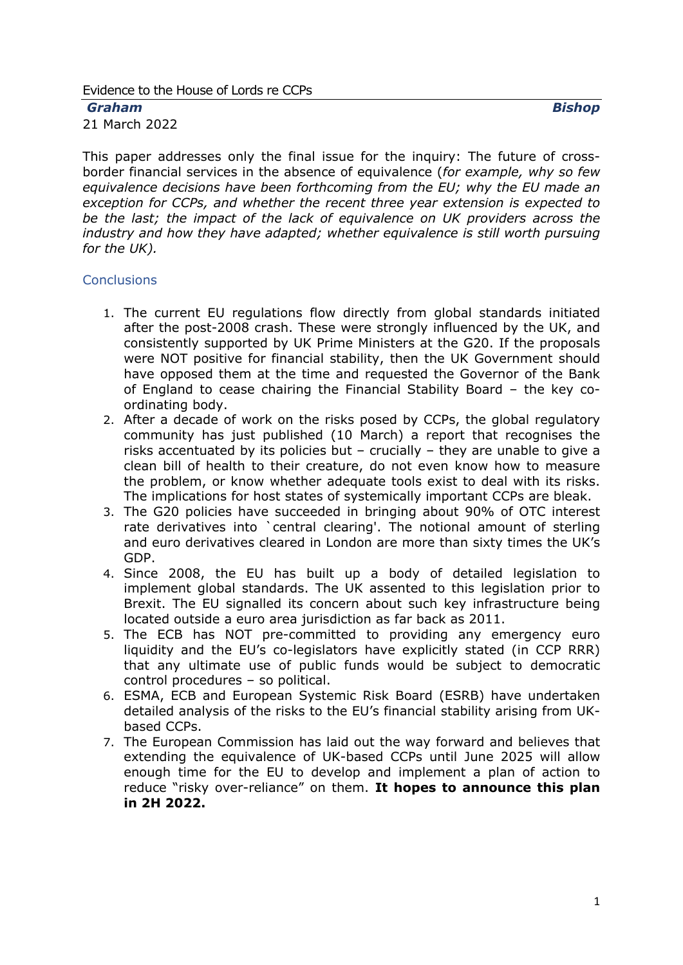#### Evidence to the House of Lords re CCPs

*Graham Bishop*

21 March 2022

This paper addresses only the final issue for the inquiry: The future of crossborder financial services in the absence of equivalence (*for example, why so few equivalence decisions have been forthcoming from the EU; why the EU made an exception for CCPs, and whether the recent three year extension is expected to be the last; the impact of the lack of equivalence on UK providers across the industry and how they have adapted; whether equivalence is still worth pursuing for the UK).*

### <span id="page-0-0"></span>**Conclusions**

- 1. The current EU regulations flow directly from global standards initiated after the post-2008 crash. These were strongly influenced by the UK, and consistently supported by UK Prime Ministers at the G20. If the proposals were NOT positive for financial stability, then the UK Government should have opposed them at the time and requested the Governor of the Bank of England to cease chairing the Financial Stability Board – the key coordinating body.
- 2. After a decade of work on the risks posed by CCPs, the global regulatory community has just published (10 March) a report that recognises the risks accentuated by its policies but – crucially – they are unable to give a clean bill of health to their creature, do not even know how to measure the problem, or know whether adequate tools exist to deal with its risks. The implications for host states of systemically important CCPs are bleak.
- 3. The G20 policies have succeeded in bringing about 90% of OTC interest rate derivatives into `central clearing'. The notional amount of sterling and euro derivatives cleared in London are more than sixty times the UK's GDP.
- 4. Since 2008, the EU has built up a body of detailed legislation to implement global standards. The UK assented to this legislation prior to Brexit. The EU signalled its concern about such key infrastructure being located outside a euro area jurisdiction as far back as 2011.
- 5. The ECB has NOT pre-committed to providing any emergency euro liquidity and the EU's co-legislators have explicitly stated (in CCP RRR) that any ultimate use of public funds would be subject to democratic control procedures – so political.
- 6. ESMA, ECB and European Systemic Risk Board (ESRB) have undertaken detailed analysis of the risks to the EU's financial stability arising from UKbased CCPs.
- 7. The European Commission has laid out the way forward and believes that extending the equivalence of UK-based CCPs until June 2025 will allow enough time for the EU to develop and implement a plan of action to reduce "risky over-reliance" on them. **It hopes to announce this plan in 2H 2022.**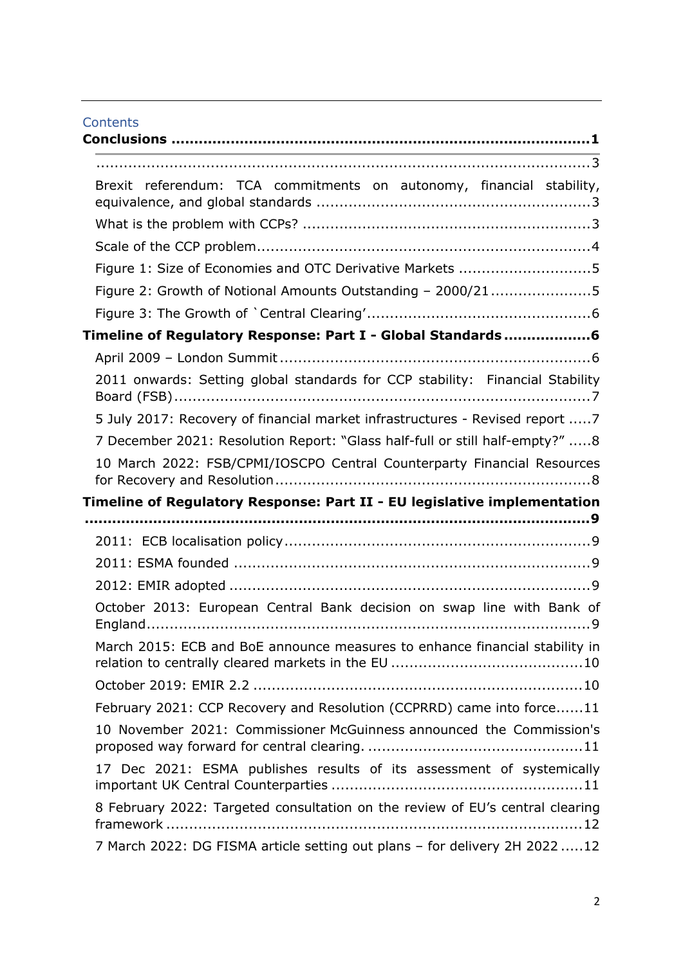|  | <b>Contents</b> |
|--|-----------------|
|  |                 |

| the contract of the contract of the contract of the contract of the contract of the contract of the contract of |
|-----------------------------------------------------------------------------------------------------------------|
|                                                                                                                 |
| Brexit referendum: TCA commitments on autonomy, financial stability,                                            |
|                                                                                                                 |
|                                                                                                                 |
| Figure 1: Size of Economies and OTC Derivative Markets 5                                                        |
| Figure 2: Growth of Notional Amounts Outstanding - 2000/215                                                     |
|                                                                                                                 |
| Timeline of Regulatory Response: Part I - Global Standards6                                                     |
|                                                                                                                 |
| 2011 onwards: Setting global standards for CCP stability: Financial Stability                                   |
| 5 July 2017: Recovery of financial market infrastructures - Revised report 7                                    |
| 7 December 2021: Resolution Report: "Glass half-full or still half-empty?" 8                                    |
| 10 March 2022: FSB/CPMI/IOSCPO Central Counterparty Financial Resources                                         |
| Timeline of Regulatory Response: Part II - EU legislative implementation                                        |
|                                                                                                                 |
|                                                                                                                 |
|                                                                                                                 |
|                                                                                                                 |
|                                                                                                                 |
| October 2013: European Central Bank decision on swap line with Bank of                                          |
| March 2015: ECB and BoE announce measures to enhance financial stability in                                     |
|                                                                                                                 |
| February 2021: CCP Recovery and Resolution (CCPRRD) came into force11                                           |
| 10 November 2021: Commissioner McGuinness announced the Commission's                                            |
| 17 Dec 2021: ESMA publishes results of its assessment of systemically                                           |
| 8 February 2022: Targeted consultation on the review of EU's central clearing                                   |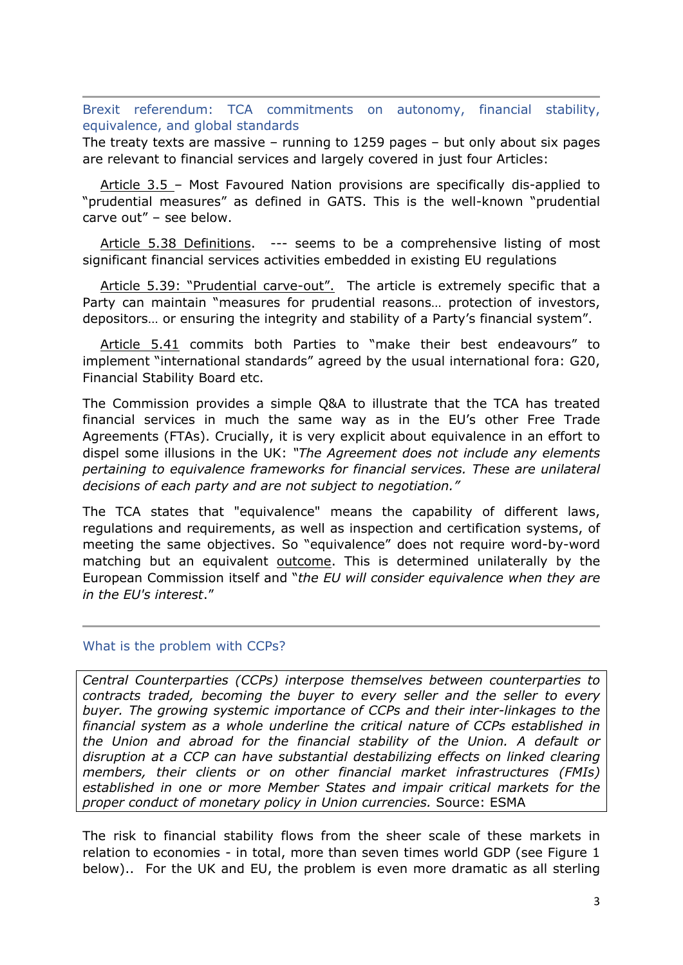<span id="page-2-1"></span><span id="page-2-0"></span>Brexit referendum: TCA commitments on autonomy, financial stability, equivalence, and global standards

The treaty texts are massive – running to 1259 pages – but only about six pages are relevant to financial services and largely covered in just four Articles:

 Article 3.5 – Most Favoured Nation provisions are specifically dis-applied to "prudential measures" as defined in GATS. This is the well-known "prudential carve out" – see below.

 Article 5.38 Definitions. --- seems to be a comprehensive listing of most significant financial services activities embedded in existing EU regulations

 Article 5.39: "Prudential carve-out". The article is extremely specific that a Party can maintain "measures for prudential reasons… protection of investors, depositors… or ensuring the integrity and stability of a Party's financial system".

 Article 5.41 commits both Parties to "make their best endeavours" to implement "international standards" agreed by the usual international fora: G20, Financial Stability Board etc.

The Commission provides a simple Q&A to illustrate that the TCA has treated financial services in much the same way as in the EU's other Free Trade Agreements (FTAs). Crucially, it is very explicit about equivalence in an effort to dispel some illusions in the UK: *"The Agreement does not include any elements pertaining to equivalence frameworks for financial services. These are unilateral decisions of each party and are not subject to negotiation."*

The TCA states that "equivalence" means the capability of different laws, regulations and requirements, as well as inspection and certification systems, of meeting the same objectives. So "equivalence" does not require word-by-word matching but an equivalent outcome. This is determined unilaterally by the European Commission itself and "*the EU will consider equivalence when they are in the EU's interest*."

### <span id="page-2-2"></span>What is the problem with CCPs?

*Central Counterparties (CCPs) interpose themselves between counterparties to contracts traded, becoming the buyer to every seller and the seller to every buyer. The growing systemic importance of CCPs and their inter-linkages to the financial system as a whole underline the critical nature of CCPs established in the Union and abroad for the financial stability of the Union. A default or disruption at a CCP can have substantial destabilizing effects on linked clearing members, their clients or on other financial market infrastructures (FMIs) established in one or more Member States and impair critical markets for the proper conduct of monetary policy in Union currencies.* Source: ESMA

The risk to financial stability flows from the sheer scale of these markets in relation to economies - in total, more than seven times world GDP (see Figure 1 below).. For the UK and EU, the problem is even more dramatic as all sterling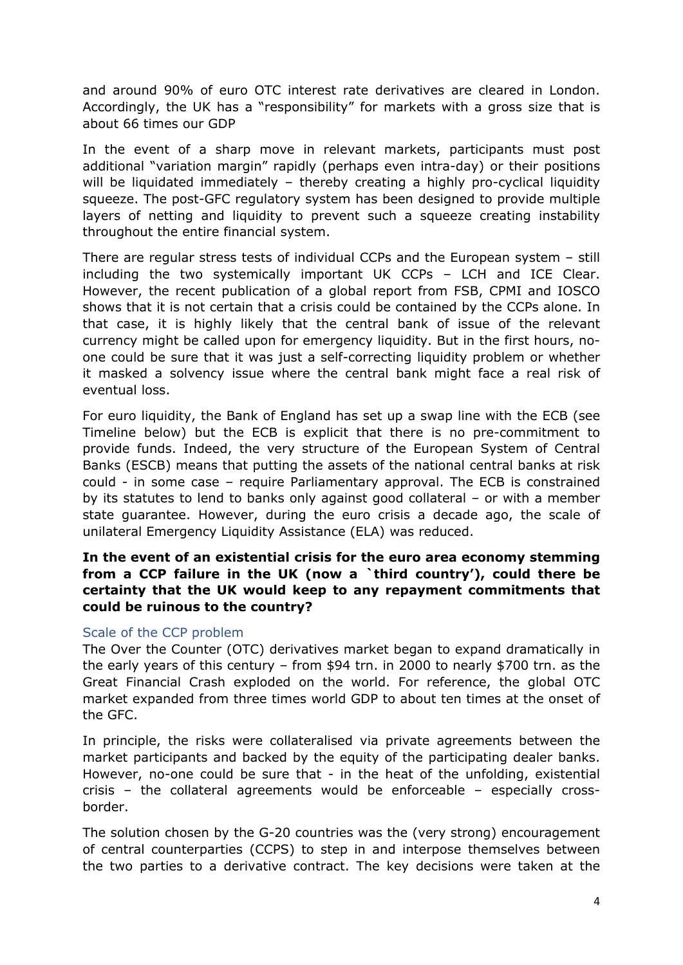and around 90% of euro OTC interest rate derivatives are cleared in London. Accordingly, the UK has a "responsibility" for markets with a gross size that is about 66 times our GDP

In the event of a sharp move in relevant markets, participants must post additional "variation margin" rapidly (perhaps even intra-day) or their positions will be liquidated immediately – thereby creating a highly pro-cyclical liquidity squeeze. The post-GFC regulatory system has been designed to provide multiple layers of netting and liquidity to prevent such a squeeze creating instability throughout the entire financial system.

There are regular stress tests of individual CCPs and the European system – still including the two systemically important UK CCPs – LCH and ICE Clear. However, the recent publication of a global report from FSB, CPMI and IOSCO shows that it is not certain that a crisis could be contained by the CCPs alone. In that case, it is highly likely that the central bank of issue of the relevant currency might be called upon for emergency liquidity. But in the first hours, noone could be sure that it was just a self-correcting liquidity problem or whether it masked a solvency issue where the central bank might face a real risk of eventual loss.

For euro liquidity, the Bank of England has set up a swap line with the ECB (see Timeline below) but the ECB is explicit that there is no pre-commitment to provide funds. Indeed, the very structure of the European System of Central Banks (ESCB) means that putting the assets of the national central banks at risk could - in some case – require Parliamentary approval. The ECB is constrained by its statutes to lend to banks only against good collateral – or with a member state guarantee. However, during the euro crisis a decade ago, the scale of unilateral Emergency Liquidity Assistance (ELA) was reduced.

## **In the event of an existential crisis for the euro area economy stemming from a CCP failure in the UK (now a `third country'), could there be certainty that the UK would keep to any repayment commitments that could be ruinous to the country?**

## <span id="page-3-0"></span>Scale of the CCP problem

The Over the Counter (OTC) derivatives market began to expand dramatically in the early years of this century – from \$94 trn. in 2000 to nearly \$700 trn. as the Great Financial Crash exploded on the world. For reference, the global OTC market expanded from three times world GDP to about ten times at the onset of the GFC.

In principle, the risks were collateralised via private agreements between the market participants and backed by the equity of the participating dealer banks. However, no-one could be sure that - in the heat of the unfolding, existential crisis – the collateral agreements would be enforceable – especially crossborder.

The solution chosen by the G-20 countries was the (very strong) encouragement of central counterparties (CCPS) to step in and interpose themselves between the two parties to a derivative contract. The key decisions were taken at the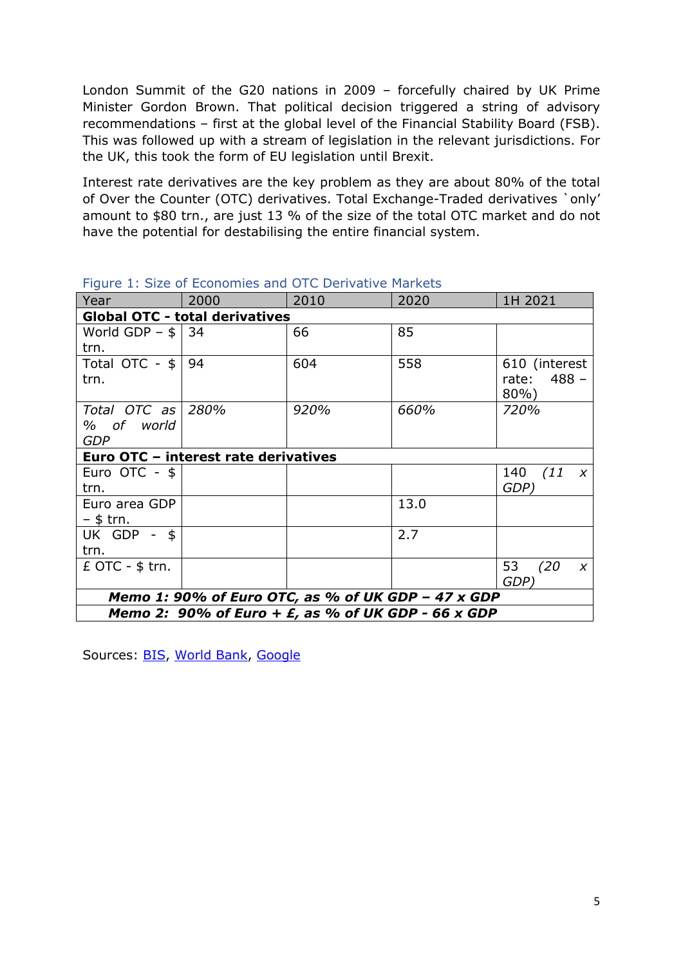London Summit of the G20 nations in 2009 – forcefully chaired by UK Prime Minister Gordon Brown. That political decision triggered a string of advisory recommendations – first at the global level of the Financial Stability Board (FSB). This was followed up with a stream of legislation in the relevant jurisdictions. For the UK, this took the form of EU legislation until Brexit.

Interest rate derivatives are the key problem as they are about 80% of the total of Over the Counter (OTC) derivatives. Total Exchange-Traded derivatives `only' amount to \$80 trn., are just 13 % of the size of the total OTC market and do not have the potential for destabilising the entire financial system.

| Year                                                  | 2000 | 2010 | 2020 | 1H 2021                       |  |  |
|-------------------------------------------------------|------|------|------|-------------------------------|--|--|
| <b>Global OTC - total derivatives</b>                 |      |      |      |                               |  |  |
| World GDP $-$ \$ $\vert$ 34                           |      | 66   | 85   |                               |  |  |
| trn.                                                  |      |      |      |                               |  |  |
| Total OTC - \$                                        | -94  | 604  | 558  | 610 (interest                 |  |  |
| trn.                                                  |      |      |      | rate: 488 -                   |  |  |
|                                                       |      |      |      | $80\%$ )                      |  |  |
| Total OTC as                                          | 280% | 920% | 660% | 720%                          |  |  |
| % of world                                            |      |      |      |                               |  |  |
| <b>GDP</b>                                            |      |      |      |                               |  |  |
| Euro OTC - interest rate derivatives                  |      |      |      |                               |  |  |
| Euro OTC - $$$                                        |      |      |      | 140 $(11 \t x)$               |  |  |
| trn.                                                  |      |      |      | GDP)                          |  |  |
| Euro area GDP                                         |      |      | 13.0 |                               |  |  |
| – \$ trn.                                             |      |      |      |                               |  |  |
| UK GDP - \$                                           |      |      | 2.7  |                               |  |  |
| trn.                                                  |      |      |      |                               |  |  |
| $E$ OTC - $$$ trn.                                    |      |      |      | 53<br>(20<br>$\boldsymbol{X}$ |  |  |
|                                                       |      |      |      | GDP)                          |  |  |
| Memo 1: 90% of Euro OTC, as % of UK GDP - 47 x GDP    |      |      |      |                               |  |  |
| Memo 2: 90% of Euro + $E$ , as % of UK GDP - 66 x GDP |      |      |      |                               |  |  |

<span id="page-4-0"></span>

|  | Figure 1: Size of Economies and OTC Derivative Markets |  |  |
|--|--------------------------------------------------------|--|--|
|--|--------------------------------------------------------|--|--|

Sources: [BIS](https://stats.bis.org/statx/srs/table/D5.1?c=&m=&p=20211&o=s%3Aline.nn%2Ct%3ADerivatives%20risk%20category%2Cw%3A19981), [World](https://data.worldbank.org/indicator/NY.GDP.MKTP.CD) [Bank,](https://data.worldbank.org/indicator/NY.GDP.MKTP.CD) [Google](https://www.google.com/search?client=firefox-b-d&q=GDP+of+EU)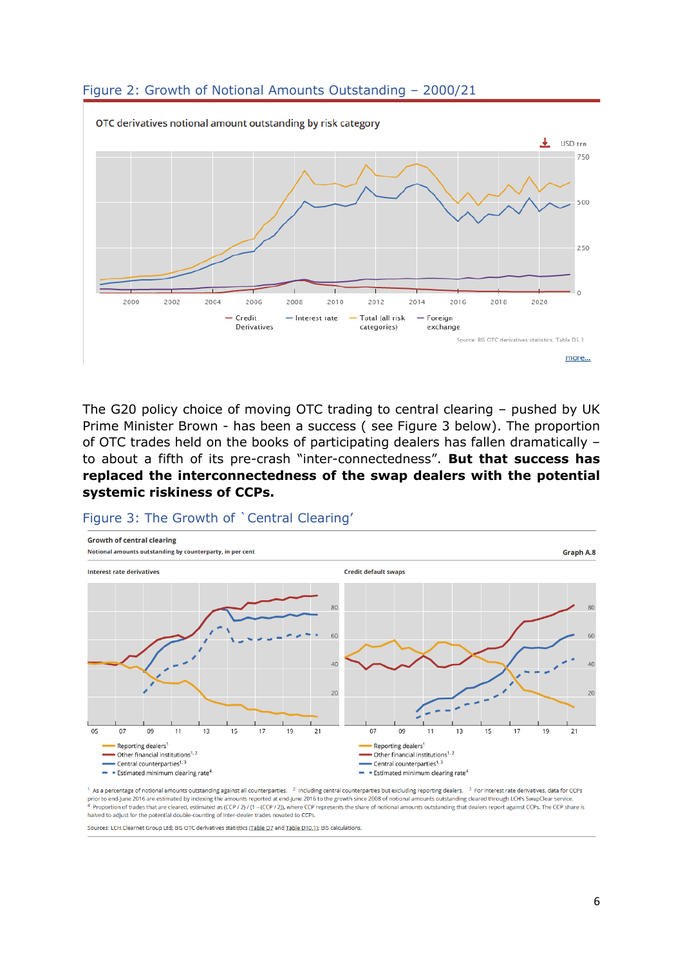<span id="page-5-0"></span>



The G20 policy choice of moving OTC trading to central clearing – pushed by UK Prime Minister Brown - has been a success ( see Figure 3 below). The proportion of OTC trades held on the books of participating dealers has fallen dramatically – to about a fifth of its pre-crash "inter-connectedness". **But that success has replaced the interconnectedness of the swap dealers with the potential systemic riskiness of CCPs.**

#### <span id="page-5-1"></span>Figure 3: The Growth of `Central Clearing'



 $1$  As a percentage of notional amounts outstanding against all counterparties.  $2$  Including central counterparties but excluding reporting dealers.  $3$  For interest rate derivatives, data for CCPs our communications of the growth since 2008 of notional amounts outstanding cleared through LCH's SwapClear service. The mounts of the growth since 2008 of notional amounts outstanding cleared through LCH's SwapClear servi 4 Proportion of trades that are cleared, estimated as (CCP / 2) / (1 - (CCP / 2)), where CCP represents the share of notional amounts outstanding that dealers report against CCPs. The CCP share is halved to adjust for the potential double-counting of inter-dealer trades novated to CCPs.

Sources: LCH.Clearnet Group Ltd; BIS OTC derivatives statistics (Table D7 and Table D10.1); BIS calculations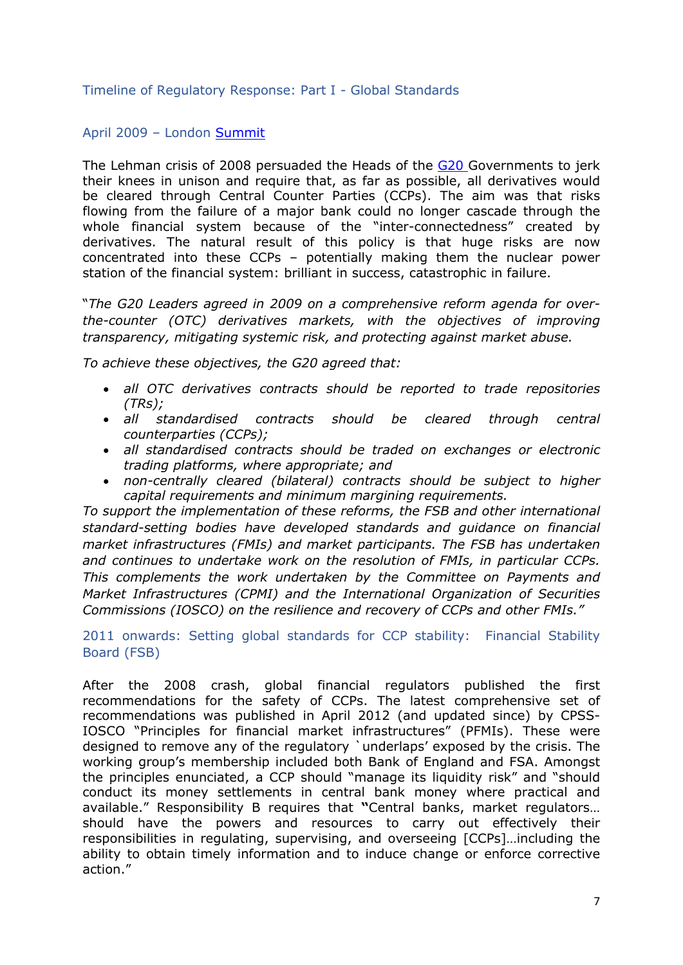## <span id="page-6-0"></span>Timeline of Regulatory Response: Part I - Global Standards

## <span id="page-6-1"></span>April 2009 – London [Summit](https://www.imf.org/external/np/sec/pr/2009/pdf/g20_040209.pdf)

The Lehman crisis of 2008 persuaded the Heads of the [G20](http://www.g20.org/) Governments to jerk their knees in unison and require that, as far as possible, all derivatives would be cleared through Central Counter Parties (CCPs). The aim was that risks flowing from the failure of a major bank could no longer cascade through the whole financial system because of the "inter-connectedness" created by derivatives. The natural result of this policy is that huge risks are now concentrated into these CCPs – potentially making them the nuclear power station of the financial system: brilliant in success, catastrophic in failure.

"*The G20 Leaders agreed in 2009 on a comprehensive reform agenda for overthe-counter (OTC) derivatives markets, with the objectives of improving transparency, mitigating systemic risk, and protecting against market abuse.*

*To achieve these objectives, the G20 agreed that:*

- *all OTC derivatives contracts should be reported to trade repositories (TRs);*
- *all standardised contracts should be cleared through central counterparties (CCPs);*
- *all standardised contracts should be traded on exchanges or electronic trading platforms, where appropriate; and*
- *non-centrally cleared (bilateral) contracts should be subject to higher capital requirements and minimum margining requirements.*

*To support the implementation of these reforms, the FSB and other international standard-setting bodies have developed standards and guidance on financial market infrastructures (FMIs) and market participants. The FSB has undertaken and continues to undertake work on the resolution of FMIs, in particular CCPs. This complements the work undertaken by the Committee on Payments and Market Infrastructures (CPMI) and the International Organization of Securities Commissions (IOSCO) on the resilience and recovery of CCPs and other FMIs."*

<span id="page-6-2"></span>2011 onwards: Setting global standards for CCP stability: Financial Stability Board (FSB)

After the 2008 crash, global financial regulators published the first recommendations for the safety of CCPs. The latest comprehensive set of recommendations was published in April 2012 (and updated since) by CPSS-IOSCO "Principles for financial market infrastructures" (PFMIs). These were designed to remove any of the regulatory `underlaps' exposed by the crisis. The working group's membership included both Bank of England and FSA. Amongst the principles enunciated, a CCP should "manage its liquidity risk" and "should conduct its money settlements in central bank money where practical and available." Responsibility B requires that **"**Central banks, market regulators… should have the powers and resources to carry out effectively their responsibilities in regulating, supervising, and overseeing [CCPs]…including the ability to obtain timely information and to induce change or enforce corrective action."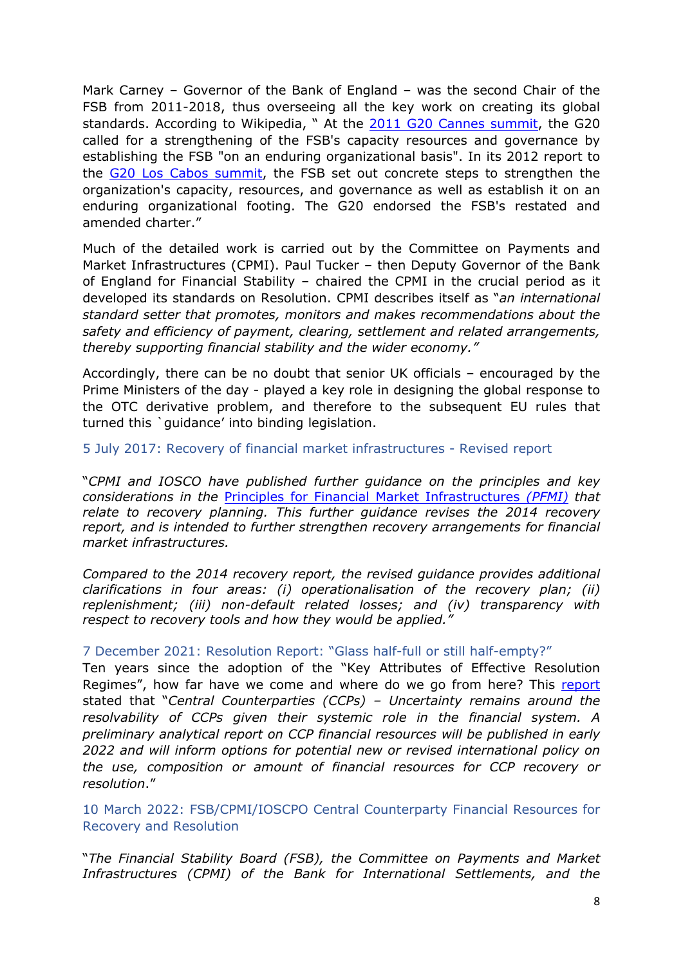Mark Carney – Governor of the Bank of England – was the second Chair of the FSB from 2011-2018, thus overseeing all the key work on creating its global standards. According to Wikipedia, " At the [2011](https://en.wikipedia.org/wiki/2011_G20_Cannes_summit) [G20](https://en.wikipedia.org/wiki/2011_G20_Cannes_summit) [Cannes](https://en.wikipedia.org/wiki/2011_G20_Cannes_summit) [summit](https://en.wikipedia.org/wiki/2011_G20_Cannes_summit), the G20 called for a strengthening of the FSB's capacity resources and governance by establishing the FSB "on an enduring organizational basis". In its 2012 report to the [G20](https://en.wikipedia.org/wiki/2012_G20_Los_Cabos_summit) [Los](https://en.wikipedia.org/wiki/2012_G20_Los_Cabos_summit) [Cabos](https://en.wikipedia.org/wiki/2012_G20_Los_Cabos_summit) [summit,](https://en.wikipedia.org/wiki/2012_G20_Los_Cabos_summit) the FSB set out concrete steps to strengthen the organization's capacity, resources, and governance as well as establish it on an enduring organizational footing. The G20 endorsed the FSB's restated and amended charter."

Much of the detailed work is carried out by the Committee on Payments and Market Infrastructures (CPMI). Paul Tucker – then Deputy Governor of the Bank of England for Financial Stability – chaired the CPMI in the crucial period as it developed its standards on Resolution. CPMI describes itself as "*an international standard setter that promotes, monitors and makes recommendations about the safety and efficiency of payment, clearing, settlement and related arrangements, thereby supporting financial stability and the wider economy."*

Accordingly, there can be no doubt that senior UK officials – encouraged by the Prime Ministers of the day - played a key role in designing the global response to the OTC derivative problem, and therefore to the subsequent EU rules that turned this `guidance' into binding legislation.

<span id="page-7-0"></span>5 July 2017: Recovery of financial market infrastructures - Revised report

"*CPMI and IOSCO have publis[h](https://www.bis.org/cpmi/info_pfmi.htm)ed further guidance on the principles and key considerations in the* [Principles](https://www.bis.org/cpmi/info_pfmi.htm) [for](https://www.bis.org/cpmi/info_pfmi.htm) [Financial](https://www.bis.org/cpmi/info_pfmi.htm) [Market](https://www.bis.org/cpmi/info_pfmi.htm) [Infrastructures](https://www.bis.org/cpmi/info_pfmi.htm) *[\(PFMI\)](https://www.bis.org/cpmi/info_pfmi.htm) that relate to recovery planning. This further guidance revises the 2014 recovery report, and is intended to further strengthen recovery arrangements for financial market infrastructures.*

*Compared to the 2014 recovery report, the revised guidance provides additional clarifications in four areas: (i) operationalisation of the recovery plan; (ii) replenishment; (iii) non-default related losses; and (iv) transparency with respect to recovery tools and how they would be applied."*

## <span id="page-7-1"></span>7 December 2021: Resolution Report: "Glass half-full or still half-empty?"

Ten years since the adoption of the "Key Attributes of Effective Resolution Regimes", how far have we come and where do we go from here? This [report](https://www.fsb.org/2021/12/2021-resolution-report-glass-half-full-or-still-half-empty/) stated that "*Central Counterparties (CCPs) – Uncertainty remains around the resolvability of CCPs given their systemic role in the financial system. A preliminary analytical report on CCP financial resources will be published in early 2022 and will inform options for potential new or revised international policy on the use, composition or amount of financial resources for CCP recovery or resolution*."

<span id="page-7-2"></span>10 March 2022: FSB/CPMI/IOSCPO Central Counterparty Financial Resources for Recovery and Resolution

"*The Financial Stability Board (FSB), the Committee on Payments and Market Infrastructures (CPMI) of the Bank for International Settlements, and the*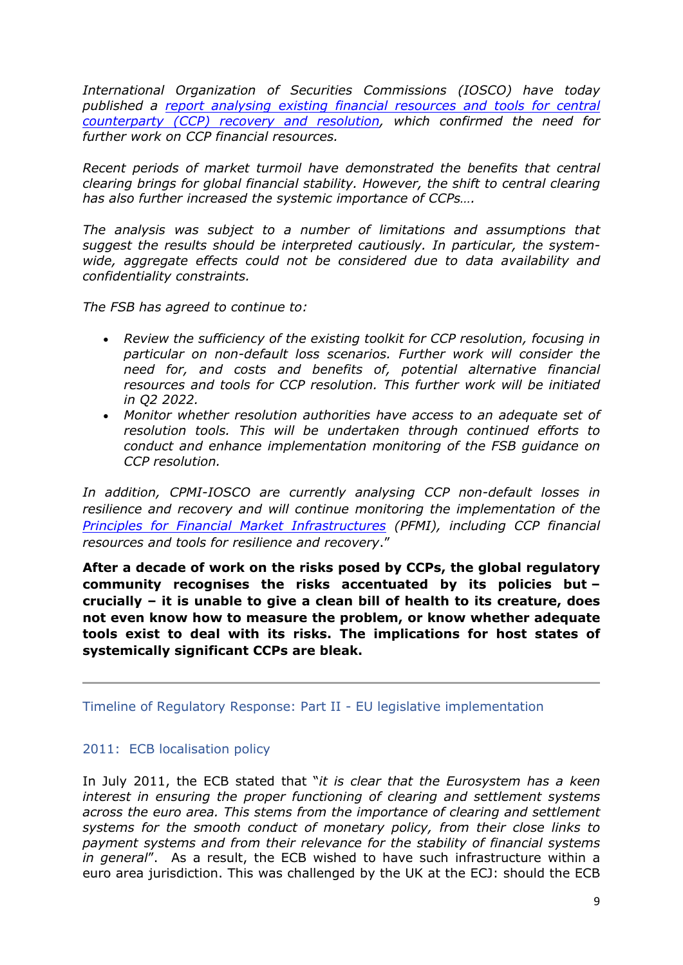*International Org[an](https://www.fsb.org/2022/03/central-counterparty-financial-resources-for-recovery-and-resolution/)ization of Secur[iti](https://www.fsb.org/2022/03/central-counterparty-financial-resources-for-recovery-and-resolution/)es Commissions [\(](https://www.fsb.org/2022/03/central-counterparty-financial-resources-for-recovery-and-resolution/)IOSCO) hav[e](https://www.fsb.org/2022/03/central-counterparty-financial-resources-for-recovery-and-resolution/) today published a [report](https://www.fsb.org/2022/03/central-counterparty-financial-resources-for-recovery-and-resolution/) [analysing](https://www.fsb.org/2022/03/central-counterparty-financial-resources-for-recovery-and-resolution/) [existing](https://www.fsb.org/2022/03/central-counterparty-financial-resources-for-recovery-and-resolution/) [financial](https://www.fsb.org/2022/03/central-counterparty-financial-resources-for-recovery-and-resolution/) [resources](https://www.fsb.org/2022/03/central-counterparty-financial-resources-for-recovery-and-resolution/) [and](https://www.fsb.org/2022/03/central-counterparty-financial-resources-for-recovery-and-resolution/) [tools](https://www.fsb.org/2022/03/central-counterparty-financial-resources-for-recovery-and-resolution/) [for](https://www.fsb.org/2022/03/central-counterparty-financial-resources-for-recovery-and-resolution/) [central](https://www.fsb.org/2022/03/central-counterparty-financial-resources-for-recovery-and-resolution/) [counterparty](https://www.fsb.org/2022/03/central-counterparty-financial-resources-for-recovery-and-resolution/) [\(CCP\)](https://www.fsb.org/2022/03/central-counterparty-financial-resources-for-recovery-and-resolution/) [recovery](https://www.fsb.org/2022/03/central-counterparty-financial-resources-for-recovery-and-resolution/) [and](https://www.fsb.org/2022/03/central-counterparty-financial-resources-for-recovery-and-resolution/) [resolution,](https://www.fsb.org/2022/03/central-counterparty-financial-resources-for-recovery-and-resolution/) which confirmed the need for further work on CCP financial resources.*

*Recent periods of market turmoil have demonstrated the benefits that central clearing brings for global financial stability. However, the shift to central clearing has also further increased the systemic importance of CCPs….*

*The analysis was subject to a number of limitations and assumptions that suggest the results should be interpreted cautiously. In particular, the systemwide, aggregate effects could not be considered due to data availability and confidentiality constraints.*

*The FSB has agreed to continue to:*

- *Review the sufficiency of the existing toolkit for CCP resolution, focusing in particular on non-default loss scenarios. Further work will consider the need for, and costs and benefits of, potential alternative financial resources and tools for CCP resolution. This further work will be initiated in Q2 2022.*
- *Monitor whether resolution authorities have access to an adequate set of resolution tools. This will be undertaken through continued efforts to conduct and enhance implementation monitoring of the FSB guidance on CCP resolution.*

*In addition, CPMI-IOSCO are currently analysing CCP non-default losses in resilience and recovery and will continue monitoring the implementation of the [Principles](https://www.bis.org/cpmi/info_pfmi.htm) [for](https://www.bis.org/cpmi/info_pfmi.htm) [Financial](https://www.bis.org/cpmi/info_pfmi.htm) [Market](https://www.bis.org/cpmi/info_pfmi.htm) [Infrastructures](https://www.bis.org/cpmi/info_pfmi.htm) (PFMI), including CCP financial resources and tools for resilience and recovery*."

**After a decade of work on the risks posed by CCPs, the global regulatory community recognises the risks accentuated by its policies but – crucially – it is unable to give a clean bill of health to its creature, does not even know how to measure the problem, or know whether adequate tools exist to deal with its risks. The implications for host states of systemically significant CCPs are bleak.**

<span id="page-8-0"></span>Timeline of Regulatory Response: Part II - EU legislative implementation

## <span id="page-8-1"></span>2011: ECB localisation policy

In July 2011, the ECB stated that "*it is clear that the Eurosystem has a keen interest in ensuring the proper functioning of clearing and settlement systems across the euro area. This stems from the importance of clearing and settlement systems for the smooth conduct of monetary policy, from their close links to payment systems and from their relevance for the stability of financial systems in general*". As a result, the ECB wished to have such infrastructure within a euro area jurisdiction. This was challenged by the UK at the ECJ: should the ECB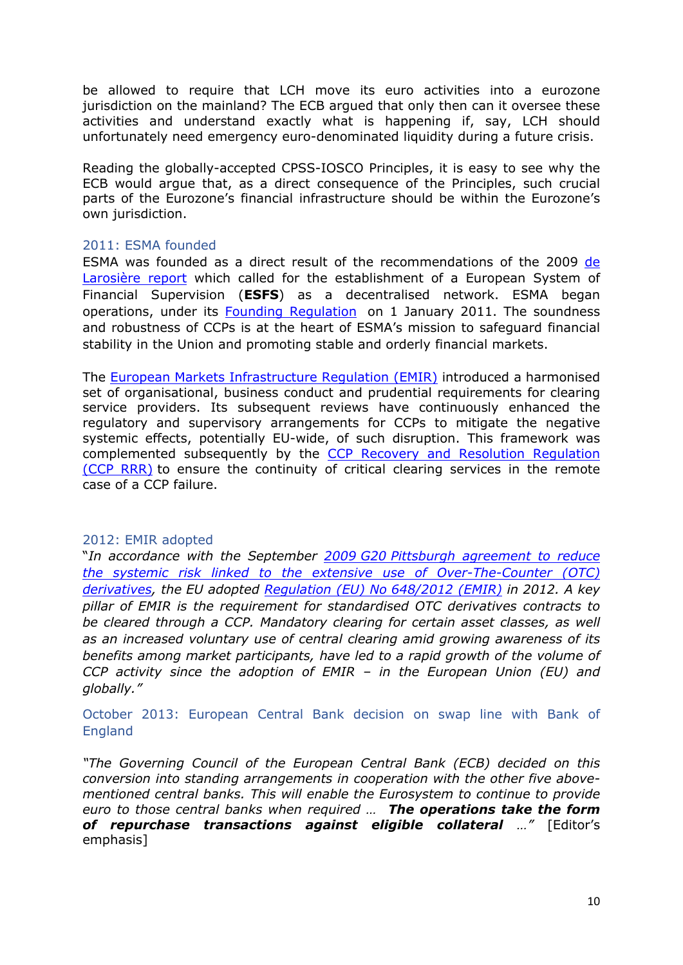be allowed to require that LCH move its euro activities into a eurozone jurisdiction on the mainland? The ECB argued that only then can it oversee these activities and understand exactly what is happening if, say, LCH should unfortunately need emergency euro-denominated liquidity during a future crisis.

Reading the globally-accepted CPSS-IOSCO Principles, it is easy to see why the ECB would argue that, as a direct consequence of the Principles, such crucial parts of the Eurozone's financial infrastructure should be within the Eurozone's own jurisdiction.

## <span id="page-9-0"></span>2011: ESMA founded

ESMA was founded as a direct result of the recommendations of the 2009 [de](https://ec.europa.eu/info/system/files/de_larosiere_report_en.pdf) [Larosière](https://ec.europa.eu/info/system/files/de_larosiere_report_en.pdf) [report](https://ec.europa.eu/info/system/files/de_larosiere_report_en.pdf) which called for the establishment of a European System of Financial Supervision (**ESFS**) as a decentralised network. ESMA began operations, under its [Founding](https://eur-lex.europa.eu/legal-content/EN/TXT/?uri=CELEX:02010R1095-20200101) [Regulation](https://eur-lex.europa.eu/legal-content/EN/TXT/?uri=CELEX:02010R1095-20200101) on 1 January 2011. The soundness and robustness of CCPs is at the heart of ESMA's mission to safeguard financial stability in the Union and promoting stable and orderly financial markets.

The [European](https://eur-lex.europa.eu/legal-content/EN/TXT/PDF/?uri=CELEX:02012R0648-20210213&qid=1618390139788&from=EN) [Markets](https://eur-lex.europa.eu/legal-content/EN/TXT/PDF/?uri=CELEX:02012R0648-20210213&qid=1618390139788&from=EN) [Infrastructure](https://eur-lex.europa.eu/legal-content/EN/TXT/PDF/?uri=CELEX:02012R0648-20210213&qid=1618390139788&from=EN) [Regulation](https://eur-lex.europa.eu/legal-content/EN/TXT/PDF/?uri=CELEX:02012R0648-20210213&qid=1618390139788&from=EN) [\(EMIR\)](https://eur-lex.europa.eu/legal-content/EN/TXT/PDF/?uri=CELEX:02012R0648-20210213&qid=1618390139788&from=EN) introduced a harmonised set of organisational, business conduct and prudential requirements for clearing service providers. Its subsequent reviews have continuously enhanced the regulatory and supervisory arrangements for CCPs to mitigate the negative systemic effects, potentially EU-wide, of such disruption. This framework was complemented subsequently by the [CCP](https://eur-lex.europa.eu/legal-content/EN/TXT/?uri=CELEX%3A32021R0023) [Recovery](https://eur-lex.europa.eu/legal-content/EN/TXT/?uri=CELEX%3A32021R0023) [and](https://eur-lex.europa.eu/legal-content/EN/TXT/?uri=CELEX%3A32021R0023) [Resolution](https://eur-lex.europa.eu/legal-content/EN/TXT/?uri=CELEX%3A32021R0023) [Regulation](https://eur-lex.europa.eu/legal-content/EN/TXT/?uri=CELEX%3A32021R0023) [\(CCP](https://eur-lex.europa.eu/legal-content/EN/TXT/?uri=CELEX%3A32021R0023) [RRR\)](https://eur-lex.europa.eu/legal-content/EN/TXT/?uri=CELEX%3A32021R0023) to ensure the continuity of critical clearing services in the remote case of a CCP failure.

### <span id="page-9-1"></span>2012: EMIR adopted

"*In accordance with the September [2009](http://www.g20.utoronto.ca/2009/2009communique0925.html) [G20](http://www.g20.utoronto.ca/2009/2009communique0925.html) [Pittsburgh](http://www.g20.utoronto.ca/2009/2009communique0925.html) [agreement](http://www.g20.utoronto.ca/2009/2009communique0925.html) [to](http://www.g20.utoronto.ca/2009/2009communique0925.html) [reduce](http://www.g20.utoronto.ca/2009/2009communique0925.html) [the](http://www.g20.utoronto.ca/2009/2009communique0925.html) [systemic](http://www.g20.utoronto.ca/2009/2009communique0925.html) [risk](http://www.g20.utoronto.ca/2009/2009communique0925.html) [linked](http://www.g20.utoronto.ca/2009/2009communique0925.html) [to](http://www.g20.utoronto.ca/2009/2009communique0925.html) [the](http://www.g20.utoronto.ca/2009/2009communique0925.html) [extensive](http://www.g20.utoronto.ca/2009/2009communique0925.html) [use](http://www.g20.utoronto.ca/2009/2009communique0925.html) [of](http://www.g20.utoronto.ca/2009/2009communique0925.html) [Over-The-Counter](http://www.g20.utoronto.ca/2009/2009communique0925.html) [\(OTC\)](http://www.g20.utoronto.ca/2009/2009communique0925.html) [derivatives](http://www.g20.utoronto.ca/2009/2009communique0925.html), the EU adopted [Regulation](https://eur-lex.europa.eu/legal-content/EN/TXT/?uri=CELEX:32012R0648) [\(EU\)](https://eur-lex.europa.eu/legal-content/EN/TXT/?uri=CELEX:32012R0648) [No](https://eur-lex.europa.eu/legal-content/EN/TXT/?uri=CELEX:32012R0648) [648/2012](https://eur-lex.europa.eu/legal-content/EN/TXT/?uri=CELEX:32012R0648) [\(EMIR\)](https://eur-lex.europa.eu/legal-content/EN/TXT/?uri=CELEX:32012R0648) in 2012. A key pillar of EMIR is the requirement for standardised OTC derivatives contracts to be cleared through a CCP. Mandatory clearing for certain asset classes, as well as an increased voluntary use of central clearing amid growing awareness of its benefits among market participants, have led to a rapid growth of the volume of CCP activity since the adoption of EMIR – in the European Union (EU) and globally."*

<span id="page-9-2"></span>October 2013: European Central Bank decision on swap line with Bank of England

*"The Governing Council of the European Central Bank (ECB) decided on this conversion into standing arrangements in cooperation with the other five abovementioned central banks. This will enable the Eurosystem to continue to provide euro to those central banks when required … The operations take the form of repurchase transactions against eligible collateral …"* [Editor's emphasis]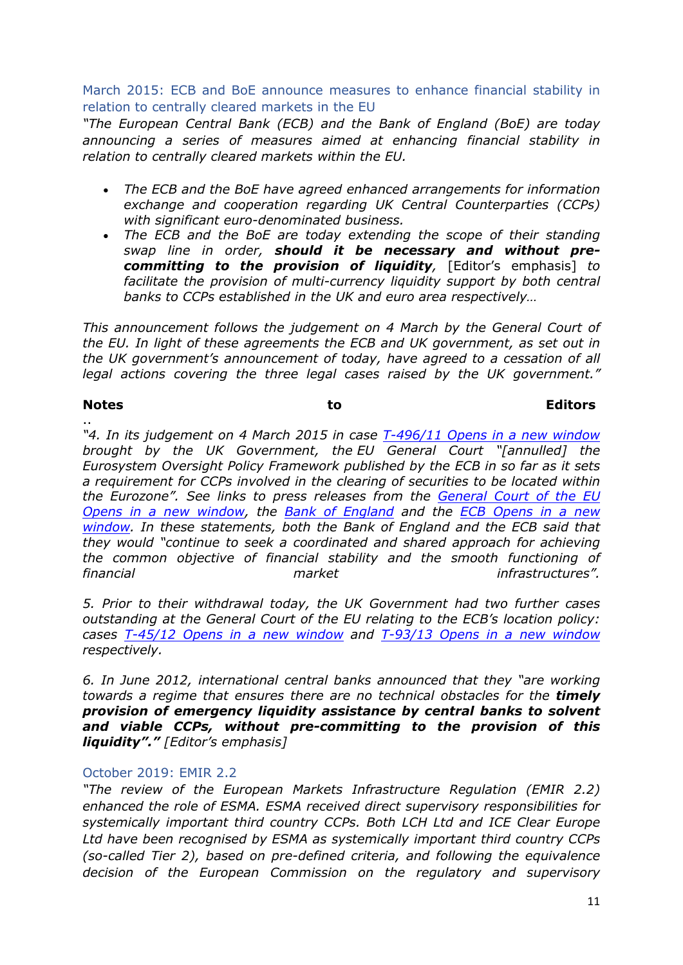<span id="page-10-0"></span>March 2015: ECB and BoE announce measures to enhance financial stability in relation to centrally cleared markets in the EU

*"The European Central Bank (ECB) and the Bank of England (BoE) are today announcing a series of measures aimed at enhancing financial stability in relation to centrally cleared markets within the EU.*

- *The ECB and the BoE have agreed enhanced arrangements for information exchange and cooperation regarding UK Central Counterparties (CCPs) with significant euro-denominated business.*
- *The ECB and the BoE are today extending the scope of their standing swap line in order, should it be necessary and without precommitting to the provision of liquidity,* [Editor's emphasis] *to facilitate the provision of multi-currency liquidity support by both central banks to CCPs established in the UK and euro area respectively…*

*This announcement follows the judgement on 4 March by the General Court of the EU. In light of these agreements the ECB and UK government, as set out in the UK government's announcement of today, have agreed to a cessation of all legal actions covering the three legal cases raised by the UK government."*

..

## **Notes to Editors**

*"4. In its judgement on 4 March 2015 in case [T-496/11](http://eur-lex.europa.eu/LexUriServ/LexUriServ.do?uri=CELEX:62011TN0496:EN:PDF) [Opens](http://eur-lex.europa.eu/LexUriServ/LexUriServ.do?uri=CELEX:62011TN0496:EN:PDF) [in](http://eur-lex.europa.eu/LexUriServ/LexUriServ.do?uri=CELEX:62011TN0496:EN:PDF) [a](http://eur-lex.europa.eu/LexUriServ/LexUriServ.do?uri=CELEX:62011TN0496:EN:PDF) [new](http://eur-lex.europa.eu/LexUriServ/LexUriServ.do?uri=CELEX:62011TN0496:EN:PDF) [window](http://eur-lex.europa.eu/LexUriServ/LexUriServ.do?uri=CELEX:62011TN0496:EN:PDF) brought by the UK Government, the EU General Court "[annulled] the Eurosystem Oversight Policy Framework published by the ECB in so far as it sets a requirement for CCPs involved in the clearing of securities to be located within the Eurozone". See links to press releases from the [General](http://curia.europa.eu/jcms/upload/docs/application/pdf/2015-03/cp150029en.pdf) [Court](http://curia.europa.eu/jcms/upload/docs/application/pdf/2015-03/cp150029en.pdf) [of](http://curia.europa.eu/jcms/upload/docs/application/pdf/2015-03/cp150029en.pdf) [the](http://curia.europa.eu/jcms/upload/docs/application/pdf/2015-03/cp150029en.pdf) [EU](http://curia.europa.eu/jcms/upload/docs/application/pdf/2015-03/cp150029en.pdf) [Opens](http://curia.europa.eu/jcms/upload/docs/application/pdf/2015-03/cp150029en.pdf) [in](http://curia.europa.eu/jcms/upload/docs/application/pdf/2015-03/cp150029en.pdf) [a](http://curia.europa.eu/jcms/upload/docs/application/pdf/2015-03/cp150029en.pdf) [new](http://curia.europa.eu/jcms/upload/docs/application/pdf/2015-03/cp150029en.pdf) [window](http://curia.europa.eu/jcms/upload/docs/application/pdf/2015-03/cp150029en.pdf), the [Bank](https://www.bankofengland.co.uk/news/2015/march/ecb-location-policy-for-ccps) [of](https://www.bankofengland.co.uk/news/2015/march/ecb-location-policy-for-ccps) [England](https://www.bankofengland.co.uk/news/2015/march/ecb-location-policy-for-ccps) and the [ECB](https://www.ecb.europa.eu/press/pr/date/2015/html/pr150304.en.html) [Opens](https://www.ecb.europa.eu/press/pr/date/2015/html/pr150304.en.html) [in](https://www.ecb.europa.eu/press/pr/date/2015/html/pr150304.en.html) [a](https://www.ecb.europa.eu/press/pr/date/2015/html/pr150304.en.html) [new](https://www.ecb.europa.eu/press/pr/date/2015/html/pr150304.en.html) [window.](https://www.ecb.europa.eu/press/pr/date/2015/html/pr150304.en.html) In these statements, both the Bank of England and the ECB said that they would "continue to seek a coordinated and shared approach for achieving the common objective of financial stability and the smooth functioning of financial market infrastructures".*

*5. Prior to their withdrawal today, the UK Government had two further cases outstanding at the General Court of the EU relating to the ECB's location policy: cases [T-45/12](http://eur-lex.europa.eu/legal-content/en/TXT/PDF/?uri=uriserv:OJ.C_.2012.098.01.0024.01.ENG) [Opens](http://eur-lex.europa.eu/legal-content/en/TXT/PDF/?uri=uriserv:OJ.C_.2012.098.01.0024.01.ENG) [in](http://eur-lex.europa.eu/legal-content/en/TXT/PDF/?uri=uriserv:OJ.C_.2012.098.01.0024.01.ENG) [a](http://eur-lex.europa.eu/legal-content/en/TXT/PDF/?uri=uriserv:OJ.C_.2012.098.01.0024.01.ENG) [new](http://eur-lex.europa.eu/legal-content/en/TXT/PDF/?uri=uriserv:OJ.C_.2012.098.01.0024.01.ENG) [window](http://eur-lex.europa.eu/legal-content/en/TXT/PDF/?uri=uriserv:OJ.C_.2012.098.01.0024.01.ENG) and [T-93/13](http://eur-lex.europa.eu/LexUriServ/LexUriServ.do?uri=OJ:C:2013:114:0038:0039:EN:PDF) [Opens](http://eur-lex.europa.eu/LexUriServ/LexUriServ.do?uri=OJ:C:2013:114:0038:0039:EN:PDF) [in](http://eur-lex.europa.eu/LexUriServ/LexUriServ.do?uri=OJ:C:2013:114:0038:0039:EN:PDF) [a](http://eur-lex.europa.eu/LexUriServ/LexUriServ.do?uri=OJ:C:2013:114:0038:0039:EN:PDF) [new](http://eur-lex.europa.eu/LexUriServ/LexUriServ.do?uri=OJ:C:2013:114:0038:0039:EN:PDF) [window](http://eur-lex.europa.eu/LexUriServ/LexUriServ.do?uri=OJ:C:2013:114:0038:0039:EN:PDF) respectively.*

*6. In June 2012, international central banks announced that they "are working towards a regime that ensures there are no technical obstacles for the timely provision of emergency liquidity assistance by central banks to solvent and viable CCPs, without pre-committing to the provision of this liquidity"." [Editor's emphasis]*

## <span id="page-10-1"></span>October 2019: EMIR 2.2

*"The review of the European Markets Infrastructure Regulation (EMIR 2.2) enhanced the role of ESMA. ESMA received direct supervisory responsibilities for systemically important third country CCPs. Both LCH Ltd and ICE Clear Europe Ltd have been recognised by ESMA as systemically important third country CCPs (so-called Tier 2), based on pre-defined criteria, and following the equivalence decision of the European Commission on the regulatory and supervisory*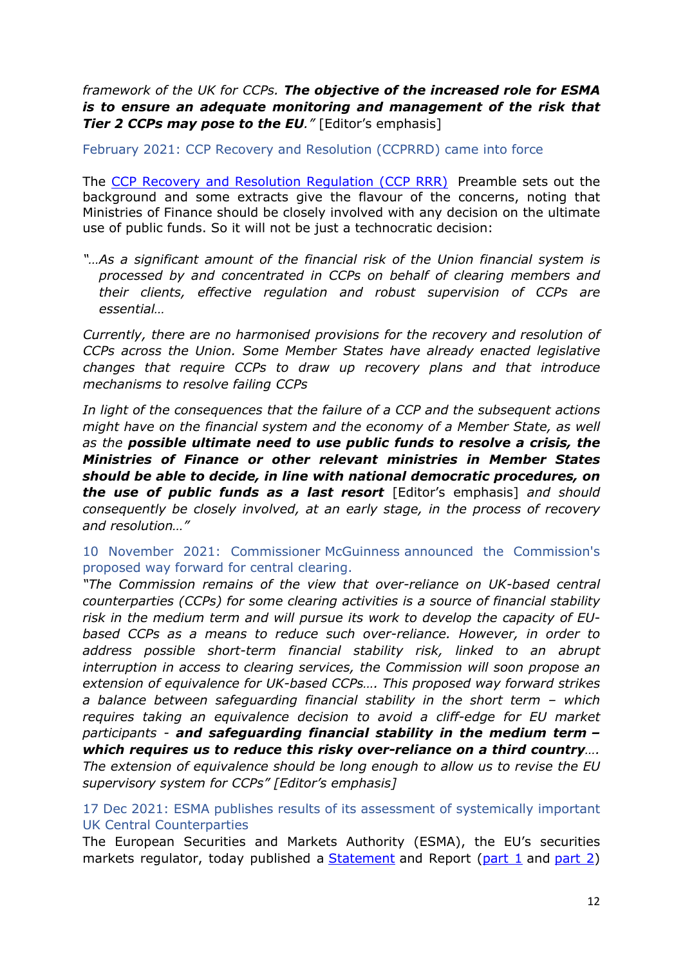*framework of the UK for CCPs. The objective of the increased role for ESMA is to ensure an adequate monitoring and management of the risk that Tier 2 CCPs may pose to the EU."* [Editor's emphasis]

<span id="page-11-0"></span>February 2021: CCP Recovery and Resolution (CCPRRD) came into force

The [CCP](https://eur-lex.europa.eu/legal-content/EN/TXT/?uri=CELEX%3A32021R0023) [Recovery](https://eur-lex.europa.eu/legal-content/EN/TXT/?uri=CELEX%3A32021R0023) [and](https://eur-lex.europa.eu/legal-content/EN/TXT/?uri=CELEX%3A32021R0023) [Resolution](https://eur-lex.europa.eu/legal-content/EN/TXT/?uri=CELEX%3A32021R0023) [Regulation](https://eur-lex.europa.eu/legal-content/EN/TXT/?uri=CELEX%3A32021R0023) [\(CCP](https://eur-lex.europa.eu/legal-content/EN/TXT/?uri=CELEX%3A32021R0023) [RRR\)](https://eur-lex.europa.eu/legal-content/EN/TXT/?uri=CELEX%3A32021R0023) Preamble sets out the background and some extracts give the flavour of the concerns, noting that Ministries of Finance should be closely involved with any decision on the ultimate use of public funds. So it will not be just a technocratic decision:

*"…As a significant amount of the financial risk of the Union financial system is processed by and concentrated in CCPs on behalf of clearing members and their clients, effective regulation and robust supervision of CCPs are essential…*

*Currently, there are no harmonised provisions for the recovery and resolution of CCPs across the Union. Some Member States have already enacted legislative changes that require CCPs to draw up recovery plans and that introduce mechanisms to resolve failing CCPs*

*In light of the consequences that the failure of a CCP and the subsequent actions might have on the financial system and the economy of a Member State, as well as the possible ultimate need to use public funds to resolve a crisis, the Ministries of Finance or other relevant ministries in Member States should be able to decide, in line with national democratic procedures, on the use of public funds as a last resort* [Editor's emphasis] *and should consequently be closely involved, at an early stage, in the process of recovery and resolution…"*

<span id="page-11-1"></span>10 November 2021: Commissioner McGuinness announced the Commission's proposed way forward for central clearing.

*"The Commission remains of the view that over-reliance on UK-based central counterparties (CCPs) for some clearing activities is a source of financial stability risk in the medium term and will pursue its work to develop the capacity of EUbased CCPs as a means to reduce such over-reliance. However, in order to address possible short-term financial stability risk, linked to an abrupt interruption in access to clearing services, the Commission will soon propose an extension of equivalence for UK-based CCPs…. This proposed way forward strikes a balance between safeguarding financial stability in the short term – which requires taking an equivalence decision to avoid a cliff-edge for EU market participants - and safeguarding financial stability in the medium term – which requires us to reduce this risky over-reliance on a third country…. The extension of equivalence should be long enough to allow us to revise the EU supervisory system for CCPs" [Editor's emphasis]*

# <span id="page-11-2"></span>17 Dec 2021: ESMA publishes results of its assessment of systemically important UK Central Counterparties

The European Securities and Markets Authority (ESMA), the EU's securities markets regulator, today published a [Statement](https://www.esma.europa.eu/sites/default/files/library/esma91-372-1913_statement_uk_ccp_article25_2c_assessment_2021.pdf) and Report ([part](https://www.esma.europa.eu/sites/default/files/library/esma91-372-1945_redacted_assessment_report_under_article_252c_of_emir_ukccps_final_2of2.pdf) [1](https://www.esma.europa.eu/sites/default/files/library/esma91-372-1945_redacted_assessment_report_under_article_252c_of_emir_ukccps_final_1of2.pdf) and part [2](https://www.esma.europa.eu/sites/default/files/library/esma91-372-1945_redacted_assessment_report_under_article_252c_of_emir_ukccps_final_2of2.pdf))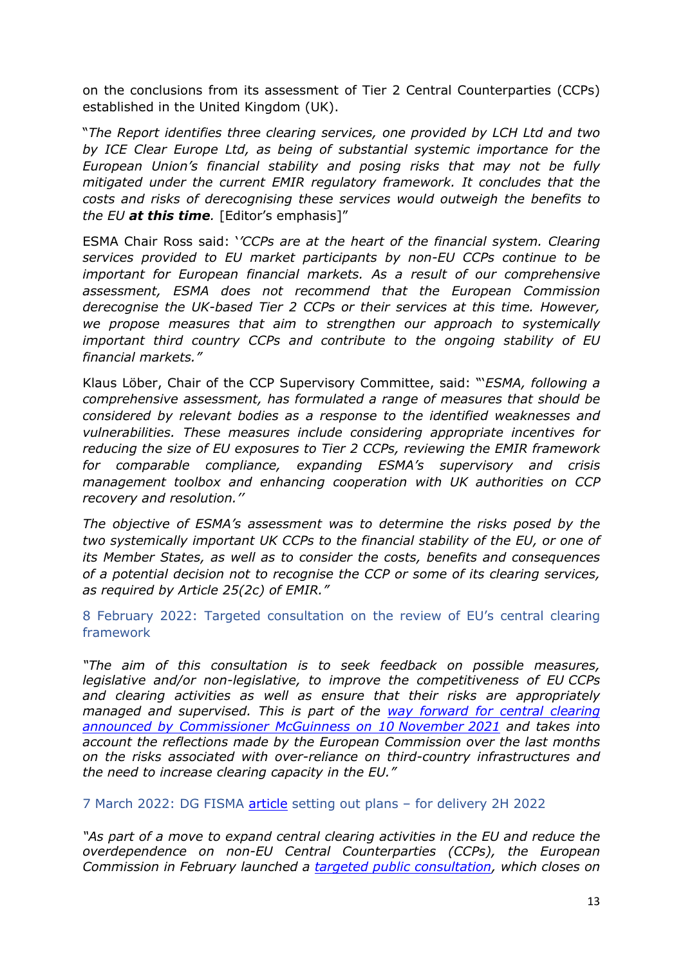on the conclusions from its assessment of Tier 2 Central Counterparties (CCPs) established in the United Kingdom (UK).

"*The Report identifies three clearing services, one provided by LCH Ltd and two by ICE Clear Europe Ltd, as being of substantial systemic importance for the European Union's financial stability and posing risks that may not be fully mitigated under the current EMIR regulatory framework. It concludes that the costs and risks of derecognising these services would outweigh the benefits to the EU at this time.* [Editor's emphasis]"

ESMA Chair Ross said: '*'CCPs are at the heart of the financial system. Clearing services provided to EU market participants by non-EU CCPs continue to be important for European financial markets. As a result of our comprehensive assessment, ESMA does not recommend that the European Commission derecognise the UK-based Tier 2 CCPs or their services at this time. However, we propose measures that aim to strengthen our approach to systemically important third country CCPs and contribute to the ongoing stability of EU financial markets."*

Klaus Löber, Chair of the CCP Supervisory Committee, said: "'*ESMA, following a comprehensive assessment, has formulated a range of measures that should be considered by relevant bodies as a response to the identified weaknesses and vulnerabilities. These measures include considering appropriate incentives for reducing the size of EU exposures to Tier 2 CCPs, reviewing the EMIR framework for comparable compliance, expanding ESMA's supervisory and crisis management toolbox and enhancing cooperation with UK authorities on CCP recovery and resolution.''*

*The objective of ESMA's assessment was to determine the risks posed by the two systemically important UK CCPs to the financial stability of the EU, or one of its Member States, as well as to consider the costs, benefits and consequences of a potential decision not to recognise the CCP or some of its clearing services, as required by Article 25(2c) of EMIR."*

<span id="page-12-0"></span>8 February 2022: Targeted consultation on the review of EU's central clearing framework

*"The aim of this consultation is to seek feedback on possible measures, legislative and/or non-legislative, to improve the competitiveness of EU CCPs and clearing activities as well as ensure that [th](https://ec.europa.eu/commission/presscorner/detail/en/STATEMENT_21_5905)eir risks are appropriately managed and supervised. This is part of the [way](https://ec.europa.eu/commission/presscorner/detail/en/STATEMENT_21_5905) [forward](https://ec.europa.eu/commission/presscorner/detail/en/STATEMENT_21_5905) [for](https://ec.europa.eu/commission/presscorner/detail/en/STATEMENT_21_5905) [central](https://ec.europa.eu/commission/presscorner/detail/en/STATEMENT_21_5905) [clearing](https://ec.europa.eu/commission/presscorner/detail/en/STATEMENT_21_5905) [announced](https://ec.europa.eu/commission/presscorner/detail/en/STATEMENT_21_5905) [by](https://ec.europa.eu/commission/presscorner/detail/en/STATEMENT_21_5905) [Commissioner](https://ec.europa.eu/commission/presscorner/detail/en/STATEMENT_21_5905) [McGuinness](https://ec.europa.eu/commission/presscorner/detail/en/STATEMENT_21_5905) [on](https://ec.europa.eu/commission/presscorner/detail/en/STATEMENT_21_5905) [10](https://ec.europa.eu/commission/presscorner/detail/en/STATEMENT_21_5905) [November](https://ec.europa.eu/commission/presscorner/detail/en/STATEMENT_21_5905) [2021](https://ec.europa.eu/commission/presscorner/detail/en/STATEMENT_21_5905) and takes into account the reflections made by the European Commission over the last months on the risks associated with over-reliance on third-country infrastructures and the need to increase clearing capacity in the EU."*

<span id="page-12-1"></span>7 March 2022: DG FISMA [article](https://ec.europa.eu/newsroom/fisma/items/738334/en) setting out plans – for delivery 2H 2022

*"As part of a move to expand central clearing activities in the EU and reduce the overdependence on non-EU Central Counterparties (CCPs), the European Commission in February launched a [targeted](https://ec.europa.eu/info/business-economy-euro/banking-and-finance/regulatory-process-financial-services/consultations-banking-and-finance/targeted-consultation-review-central-clearing-framework-eu_en) [public](https://ec.europa.eu/info/business-economy-euro/banking-and-finance/regulatory-process-financial-services/consultations-banking-and-finance/targeted-consultation-review-central-clearing-framework-eu_en) [consultation,](https://ec.europa.eu/info/business-economy-euro/banking-and-finance/regulatory-process-financial-services/consultations-banking-and-finance/targeted-consultation-review-central-clearing-framework-eu_en) which closes on*